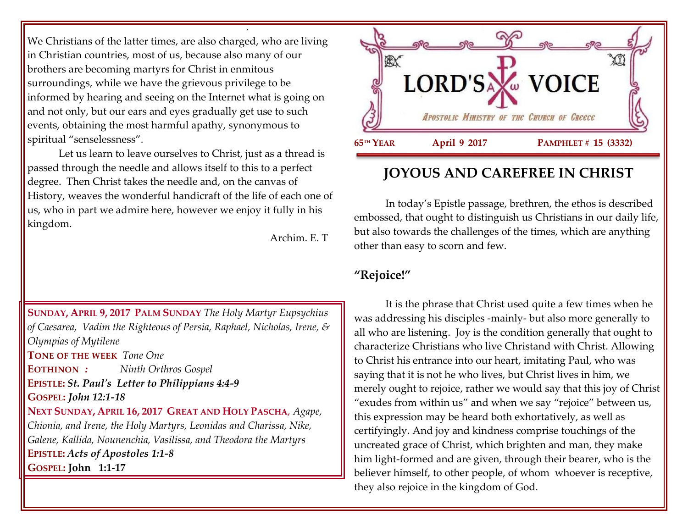We Christians of the latter times, are also charged, who are living in Christian countries, most of us, because also many of our brothers are becoming martyrs for Christ in enmitous surroundings, while we have the grievous privilege to be informed by hearing and seeing on the Internet what is going on and not only, but our ears and eyes gradually get use to such events, obtaining the most harmful apathy, synonymous to spiritual "senselessness".

.

Let us learn to leave ourselves to Christ, just as a thread is passed through the needle and allows itself to this to a perfect degree. Then Christ takes the needle and, on the canvas of History, weaves the wonderful handicraft of the life of each one of us, who in part we admire here, however we enjoy it fully in his kingdom.

Archim. E. T

**SUNDAY, APRIL 9, 2017 PALM SUNDAY** *The Holy Martyr Eupsychius of Caesarea, Vadim the Righteous of Persia, Raphael, Nicholas, Irene, & Olympias of Mytilene* **TONE OF THE WEEK** *Tone One* **EOTHINON** *: Ninth Orthros Gospel* **EPISTLE:** *St. Paul's Letter to Philippians 4:4-9* **GOSPEL:** *John 12:1-18* **NEXT SUNDAY, APRIL 16, 2017 GREAT AND HOLY PASCHA**, *Agape, Chionia, and Irene, the Holy Martyrs, Leonidas and Charissa, Nike, Galene, Kallida, Nounenchia, Vasilissa, and Theodora the Martyrs*

**EPISTLE:** *Acts of Apostoles 1:1-8*

**GOSPEL: John 1:1-17**



# **JOYOUS AND CAREFREE IN CHRIST**

In today's Epistle passage, brethren, the ethos is described embossed, that ought to distinguish us Christians in our daily life, but also towards the challenges of the times, which are anything other than easy to scorn and few.

## **"Rejoice!"**

It is the phrase that Christ used quite a few times when he was addressing his disciples -mainly- but also more generally to all who are listening. Joy is the condition generally that ought to characterize Christians who live Christand with Christ. Allowing to Christ his entrance into our heart, imitating Paul, who was saying that it is not he who lives, but Christ lives in him, we merely ought to rejoice, rather we would say that this joy of Christ "exudes from within us" and when we say "rejoice" between us, this expression may be heard both exhortatively, as well as certifyingly. And joy and kindness comprise touchings of the uncreated grace of Christ, which brighten and man, they make him light-formed and are given, through their bearer, who is the believer himself, to other people, of whom whoever is receptive, they also rejoice in the kingdom of God.